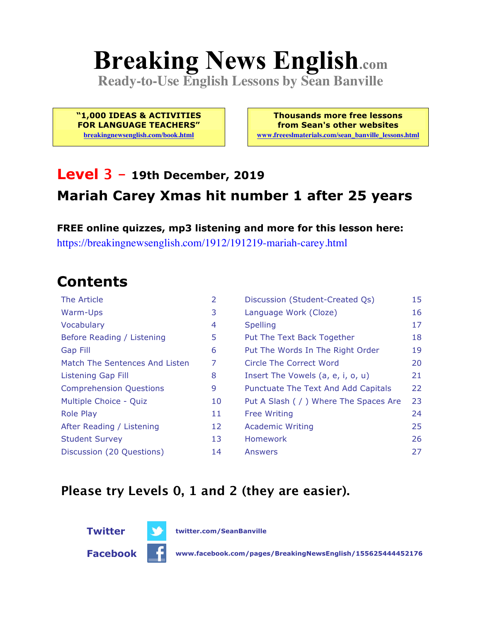# **Breaking News English.com**

**Ready-to-Use English Lessons by Sean Banville**

**"1,000 IDEAS & ACTIVITIES FOR LANGUAGE TEACHERS" breakingnewsenglish.com/book.html**

**Thousands more free lessons from Sean's other websites www.freeeslmaterials.com/sean\_banville\_lessons.html**

#### **Level 3 - 19th December, 2019 Mariah Carey Xmas hit number 1 after 25 years**

**FREE online quizzes, mp3 listening and more for this lesson here:** https://breakingnewsenglish.com/1912/191219-mariah-carey.html

### **Contents**

| The Article                    | 2  | Discussion (Student-Created Qs)        | 15 |
|--------------------------------|----|----------------------------------------|----|
| Warm-Ups                       | 3  | Language Work (Cloze)                  | 16 |
| Vocabulary                     | 4  | <b>Spelling</b>                        | 17 |
| Before Reading / Listening     | 5  | Put The Text Back Together             | 18 |
| Gap Fill                       | 6  | Put The Words In The Right Order       | 19 |
| Match The Sentences And Listen | 7  | Circle The Correct Word                | 20 |
| Listening Gap Fill             | 8  | Insert The Vowels (a, e, i, o, u)      | 21 |
| <b>Comprehension Questions</b> | 9  | Punctuate The Text And Add Capitals    | 22 |
| Multiple Choice - Quiz         | 10 | Put A Slash ( / ) Where The Spaces Are | 23 |
| <b>Role Play</b>               | 11 | <b>Free Writing</b>                    | 24 |
| After Reading / Listening      | 12 | <b>Academic Writing</b>                | 25 |
| <b>Student Survey</b>          | 13 | Homework                               | 26 |
| Discussion (20 Questions)      | 14 | Answers                                | 27 |

#### **Please try Levels 0, 1 and 2 (they are easier).**



**Twitter twitter.com/SeanBanville**

**Facebook www.facebook.com/pages/BreakingNewsEnglish/155625444452176**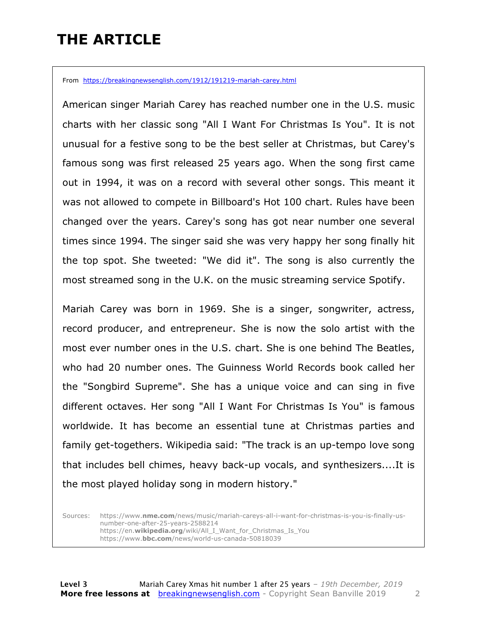### **THE ARTICLE**

From https://breakingnewsenglish.com/1912/191219-mariah-carey.html

American singer Mariah Carey has reached number one in the U.S. music charts with her classic song "All I Want For Christmas Is You". It is not unusual for a festive song to be the best seller at Christmas, but Carey's famous song was first released 25 years ago. When the song first came out in 1994, it was on a record with several other songs. This meant it was not allowed to compete in Billboard's Hot 100 chart. Rules have been changed over the years. Carey's song has got near number one several times since 1994. The singer said she was very happy her song finally hit the top spot. She tweeted: "We did it". The song is also currently the most streamed song in the U.K. on the music streaming service Spotify.

Mariah Carey was born in 1969. She is a singer, songwriter, actress, record producer, and entrepreneur. She is now the solo artist with the most ever number ones in the U.S. chart. She is one behind The Beatles, who had 20 number ones. The Guinness World Records book called her the "Songbird Supreme". She has a unique voice and can sing in five different octaves. Her song "All I Want For Christmas Is You" is famous worldwide. It has become an essential tune at Christmas parties and family get-togethers. Wikipedia said: "The track is an up-tempo love song that includes bell chimes, heavy back-up vocals, and synthesizers....It is the most played holiday song in modern history."

Sources: https://www.**nme.com**/news/music/mariah-careys-all-i-want-for-christmas-is-you-is-finally-usnumber-one-after-25-years-2588214 https://en.**wikipedia.org**/wiki/All\_I\_Want\_for\_Christmas\_Is\_You https://www.**bbc.com**/news/world-us-canada-50818039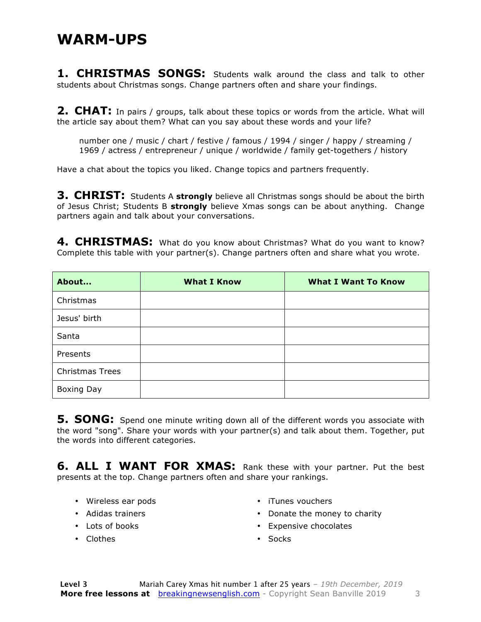#### **WARM-UPS**

**1. CHRISTMAS SONGS:** Students walk around the class and talk to other students about Christmas songs. Change partners often and share your findings.

**2. CHAT:** In pairs / groups, talk about these topics or words from the article. What will the article say about them? What can you say about these words and your life?

number one / music / chart / festive / famous / 1994 / singer / happy / streaming / 1969 / actress / entrepreneur / unique / worldwide / family get-togethers / history

Have a chat about the topics you liked. Change topics and partners frequently.

**3. CHRIST:** Students A strongly believe all Christmas songs should be about the birth of Jesus Christ; Students B **strongly** believe Xmas songs can be about anything. Change partners again and talk about your conversations.

4. CHRISTMAS: What do you know about Christmas? What do you want to know? Complete this table with your partner(s). Change partners often and share what you wrote.

| About                  | <b>What I Know</b> | <b>What I Want To Know</b> |
|------------------------|--------------------|----------------------------|
| Christmas              |                    |                            |
| Jesus' birth           |                    |                            |
| Santa                  |                    |                            |
| Presents               |                    |                            |
| <b>Christmas Trees</b> |                    |                            |
| Boxing Day             |                    |                            |

**5. SONG:** Spend one minute writing down all of the different words you associate with the word "song". Share your words with your partner(s) and talk about them. Together, put the words into different categories.

**6. ALL I WANT FOR XMAS:** Rank these with your partner. Put the best presents at the top. Change partners often and share your rankings.

- Wireless ear pods
- Adidas trainers
- Lots of books
- Clothes
- iTunes vouchers
- Donate the money to charity
- Expensive chocolates
- Socks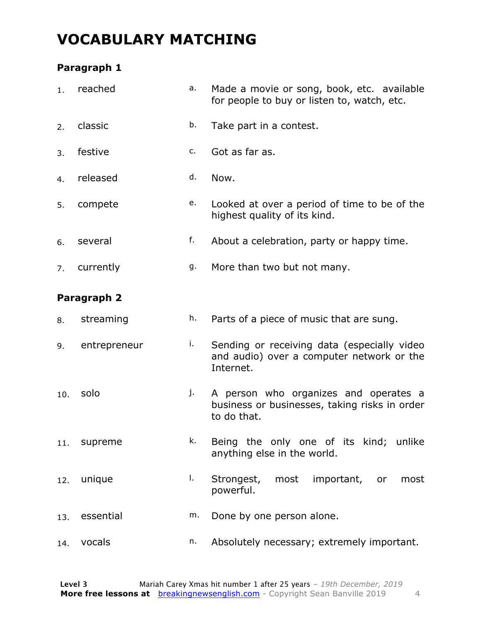### **VOCABULARY MATCHING**

#### **Paragraph 1**

| 1.  | reached      | a. | Made a movie or song, book, etc. available<br>for people to buy or listen to, watch, etc.             |  |  |  |  |
|-----|--------------|----|-------------------------------------------------------------------------------------------------------|--|--|--|--|
| 2.  | classic      | b. | Take part in a contest.                                                                               |  |  |  |  |
| 3.  | festive      | c. | Got as far as.                                                                                        |  |  |  |  |
| 4.  | released     | d. | Now.                                                                                                  |  |  |  |  |
| 5.  | compete      | e. | Looked at over a period of time to be of the<br>highest quality of its kind.                          |  |  |  |  |
| 6.  | several      | f. | About a celebration, party or happy time.                                                             |  |  |  |  |
| 7.  | currently    | g. | More than two but not many.                                                                           |  |  |  |  |
|     | Paragraph 2  |    |                                                                                                       |  |  |  |  |
| 8.  | streaming    | h. | Parts of a piece of music that are sung.                                                              |  |  |  |  |
| 9.  | entrepreneur | i. | Sending or receiving data (especially video<br>and audio) over a computer network or the<br>Internet. |  |  |  |  |
| 10. | solo         | j. | A person who organizes and operates a<br>business or businesses, taking risks in order<br>to do that. |  |  |  |  |
| 11. | supreme      | k. | Being the only one of its kind; unlike<br>anything else in the world.                                 |  |  |  |  |
| 12. | unique       | Ι. | Strongest,<br>most important,<br>most<br>or<br>powerful.                                              |  |  |  |  |
| 13. | essential    | m. | Done by one person alone.                                                                             |  |  |  |  |
| 14. | vocals       | n. | Absolutely necessary; extremely important.                                                            |  |  |  |  |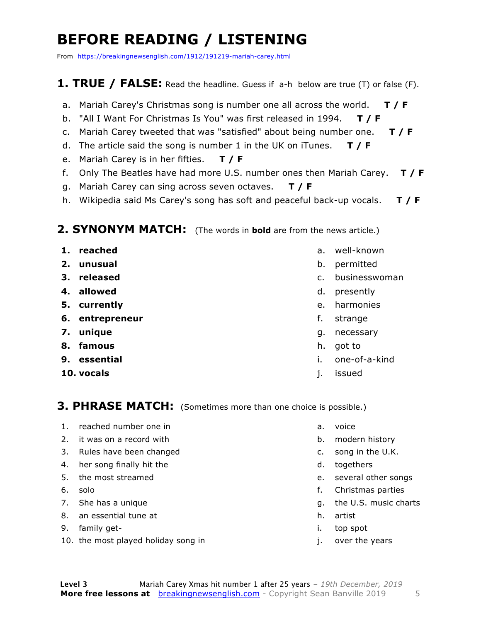### **BEFORE READING / LISTENING**

From https://breakingnewsenglish.com/1912/191219-mariah-carey.html

#### **1. TRUE / FALSE:** Read the headline. Guess if a-h below are true (T) or false (F).

- a. Mariah Carey's Christmas song is number one all across the world. **T / F**
- b. "All I Want For Christmas Is You" was first released in 1994. **T / F**
- c. Mariah Carey tweeted that was "satisfied" about being number one. **T / F**
- d. The article said the song is number 1 in the UK on iTunes. **T / F**
- e. Mariah Carey is in her fifties. **T / F**
- f. Only The Beatles have had more U.S. number ones then Mariah Carey. **T / F**
- g. Mariah Carey can sing across seven octaves. **T / F**
- h. Wikipedia said Ms Carey's song has soft and peaceful back-up vocals. **T / F**

#### **2. SYNONYM MATCH:** (The words in **bold** are from the news article.)

- **1. reached**
- **2. unusual**
- **3. released**
- **4. allowed**
- **5. currently**
- **6. entrepreneur**
- **7. unique**
- **8. famous**
- **9. essential**
- **10. vocals**
- a. well-known
- b. permitted
- c. businesswoman
- d. presently
- e. harmonies
- f. strange
- g. necessary
- h. got to
- i. one-of-a-kind
- j. issued

#### **3. PHRASE MATCH:** (Sometimes more than one choice is possible.)

- 1. reached number one in
- 2. it was on a record with
- 3. Rules have been changed
- 4. her song finally hit the
- 5. the most streamed
- 6. solo
- 7. She has a unique
- 8. an essential tune at
- 9. family get-
- 10. the most played holiday song in
- a. voice
- b. modern history
- c. song in the U.K.
- d. togethers
- e. several other songs
- f. Christmas parties
- g. the U.S. music charts
- h. artist
- i. top spot
- j. over the years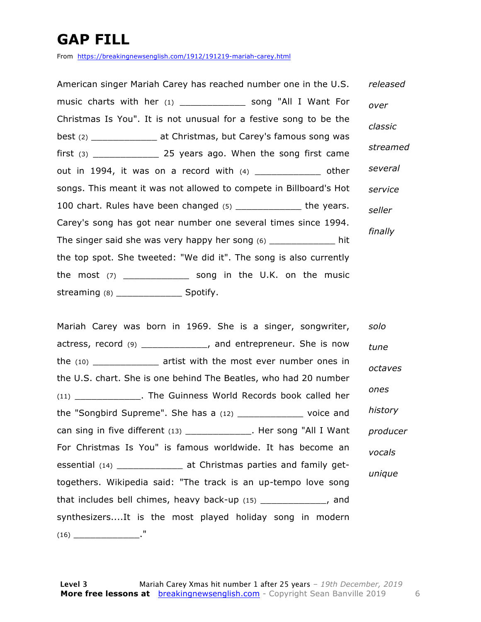### **GAP FILL**

From https://breakingnewsenglish.com/1912/191219-mariah-carey.html

American singer Mariah Carey has reached number one in the U.S. music charts with her (1) \_\_\_\_\_\_\_\_\_\_\_\_ song "All I Want For Christmas Is You". It is not unusual for a festive song to be the best (2) \_\_\_\_\_\_\_\_\_\_\_\_ at Christmas, but Carey's famous song was first  $(3)$  \_\_\_\_\_\_\_\_\_\_\_\_\_\_\_\_\_\_\_\_\_ 25 years ago. When the song first came out in 1994, it was on a record with (4) contained the other songs. This meant it was not allowed to compete in Billboard's Hot 100 chart. Rules have been changed (5) \_\_\_\_\_\_\_\_\_\_\_\_\_ the years. Carey's song has got near number one several times since 1994. The singer said she was very happy her song (6) \_\_\_\_\_\_\_\_\_\_\_\_\_ hit the top spot. She tweeted: "We did it". The song is also currently the most  $(7)$  \_\_\_\_\_\_\_\_\_\_\_\_\_\_ song in the U.K. on the music streaming  $(8)$  \_\_\_\_\_\_\_\_\_\_\_\_\_\_\_\_\_\_\_\_\_\_\_ Spotify. *released over classic streamed several service seller finally*

Mariah Carey was born in 1969. She is a singer, songwriter, actress, record (9) \_\_\_\_\_\_\_\_\_\_\_\_, and entrepreneur. She is now the (10) \_\_\_\_\_\_\_\_\_\_\_\_ artist with the most ever number ones in the U.S. chart. She is one behind The Beatles, who had 20 number (11) The Guinness World Records book called her the "Songbird Supreme". She has a (12) \_\_\_\_\_\_\_\_\_\_\_\_ voice and can sing in five different (13) \_\_\_\_\_\_\_\_\_\_\_\_. Her song "All I Want For Christmas Is You" is famous worldwide. It has become an essential (14) \_\_\_\_\_\_\_\_\_\_\_\_ at Christmas parties and family gettogethers. Wikipedia said: "The track is an up-tempo love song that includes bell chimes, heavy back-up (15) \_\_\_\_\_\_\_\_\_\_\_\_, and synthesizers....It is the most played holiday song in modern  $(16)$ *solo tune octaves ones history producer vocals unique*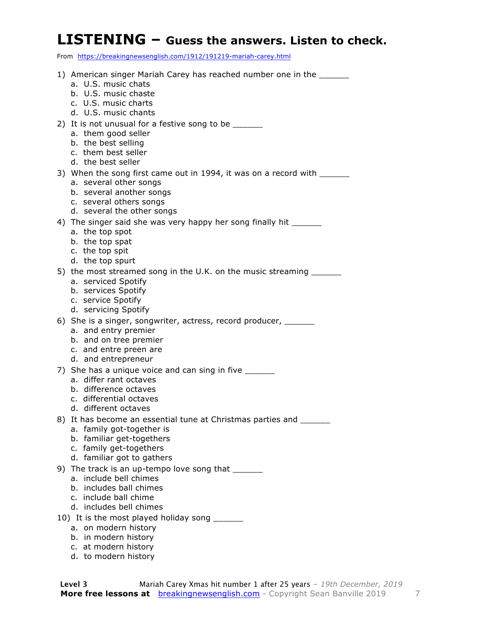#### **LISTENING – Guess the answers. Listen to check.**

From https://breakingnewsenglish.com/1912/191219-mariah-carey.html

| 1) American singer Mariah Carey has reached number one in the ______<br>a. U.S. music chats<br>b. U.S. music chaste<br>c. U.S. music charts |
|---------------------------------------------------------------------------------------------------------------------------------------------|
| d. U.S. music chants                                                                                                                        |
| 2) It is not unusual for a festive song to be _______                                                                                       |
| a. them good seller                                                                                                                         |
| b. the best selling<br>c. them best seller                                                                                                  |
| d. the best seller                                                                                                                          |
| 3) When the song first came out in 1994, it was on a record with _______                                                                    |
| a. several other songs                                                                                                                      |
| b. several another songs<br>c. several others songs                                                                                         |
| d. several the other songs                                                                                                                  |
| 4) The singer said she was very happy her song finally hit ______                                                                           |
| a. the top spot                                                                                                                             |
| b. the top spat<br>c. the top spit                                                                                                          |
| d. the top spurt                                                                                                                            |
| 5) the most streamed song in the U.K. on the music streaming ______                                                                         |
| a. serviced Spotify                                                                                                                         |
| b. services Spotify<br>c. service Spotify                                                                                                   |
| d. servicing Spotify                                                                                                                        |
| 6) She is a singer, songwriter, actress, record producer, ________                                                                          |
| a. and entry premier                                                                                                                        |
| b. and on tree premier<br>c. and entre preen are                                                                                            |
| d. and entrepreneur                                                                                                                         |
| 7) She has a unique voice and can sing in five                                                                                              |
| a. differ rant octaves                                                                                                                      |
| b. difference octaves<br>c. differential octaves                                                                                            |
| d. different octaves                                                                                                                        |
| 8) It has become an essential tune at Christmas parties and                                                                                 |
| a. family got-together is                                                                                                                   |
| b. familiar get-togethers<br>c. family get-togethers                                                                                        |
| d. familiar got to gathers                                                                                                                  |
| 9) The track is an up-tempo love song that _______                                                                                          |
| a. include bell chimes                                                                                                                      |
| b. includes ball chimes<br>c. include ball chime                                                                                            |
| d. includes bell chimes                                                                                                                     |
| 10) It is the most played holiday song ______                                                                                               |
| a. on modern history                                                                                                                        |
| b. in modern history<br>c. at modern history                                                                                                |
| d. to modern history                                                                                                                        |
|                                                                                                                                             |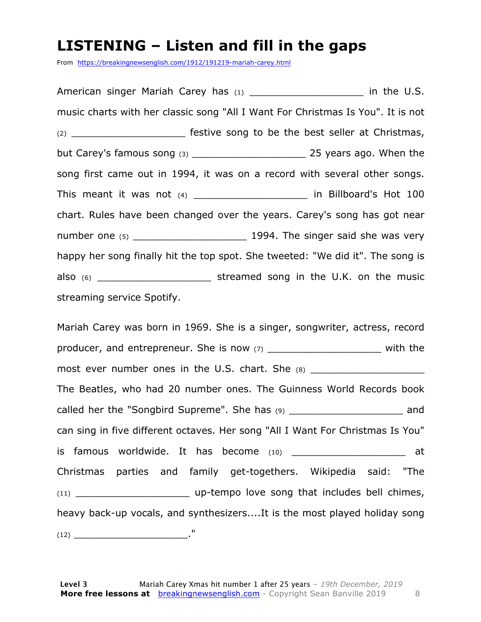#### **LISTENING – Listen and fill in the gaps**

From https://breakingnewsenglish.com/1912/191219-mariah-carey.html

American singer Mariah Carey has (1) The U.S. music charts with her classic song "All I Want For Christmas Is You". It is not (2) \_\_\_\_\_\_\_\_\_\_\_\_\_\_\_\_\_\_\_ festive song to be the best seller at Christmas, but Carey's famous song (3) \_\_\_\_\_\_\_\_\_\_\_\_\_\_\_\_\_\_\_ 25 years ago. When the song first came out in 1994, it was on a record with several other songs. This meant it was not (4) \_\_\_\_\_\_\_\_\_\_\_\_\_\_\_\_\_\_\_\_\_\_\_\_ in Billboard's Hot 100 chart. Rules have been changed over the years. Carey's song has got near number one (5) \_\_\_\_\_\_\_\_\_\_\_\_\_\_\_\_\_\_\_ 1994. The singer said she was very happy her song finally hit the top spot. She tweeted: "We did it". The song is also (6) \_\_\_\_\_\_\_\_\_\_\_\_\_\_\_\_\_\_\_ streamed song in the U.K. on the music streaming service Spotify.

Mariah Carey was born in 1969. She is a singer, songwriter, actress, record producer, and entrepreneur. She is now (7) \_\_\_\_\_\_\_\_\_\_\_\_\_\_\_\_\_\_\_\_\_\_\_\_ with the most ever number ones in the U.S. chart. She (8) \_\_\_\_\_\_\_\_\_\_\_\_\_\_\_\_\_\_\_\_\_\_\_\_\_\_\_\_\_\_\_ The Beatles, who had 20 number ones. The Guinness World Records book called her the "Songbird Supreme". She has (9) \_\_\_\_\_\_\_\_\_\_\_\_\_\_\_\_\_\_\_\_\_\_\_\_\_ and can sing in five different octaves. Her song "All I Want For Christmas Is You" is famous worldwide. It has become  $(10)$  at Christmas parties and family get-togethers. Wikipedia said: "The (11) **Example 10** up-tempo love song that includes bell chimes, heavy back-up vocals, and synthesizers....It is the most played holiday song (12) \_\_\_\_\_\_\_\_\_\_\_\_\_\_\_\_\_\_\_."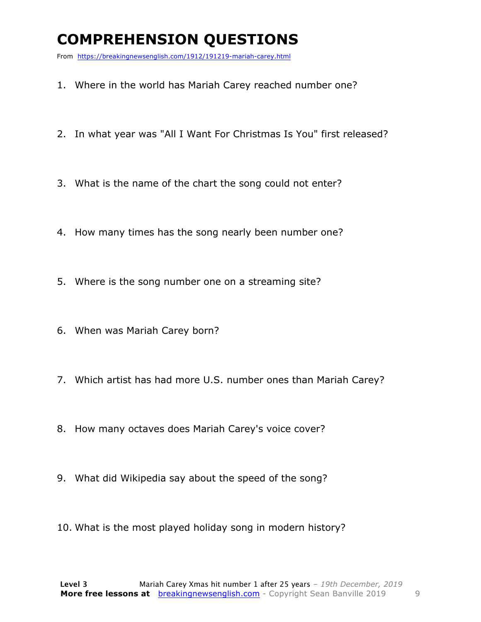### **COMPREHENSION QUESTIONS**

From https://breakingnewsenglish.com/1912/191219-mariah-carey.html

- 1. Where in the world has Mariah Carey reached number one?
- 2. In what year was "All I Want For Christmas Is You" first released?
- 3. What is the name of the chart the song could not enter?
- 4. How many times has the song nearly been number one?
- 5. Where is the song number one on a streaming site?
- 6. When was Mariah Carey born?
- 7. Which artist has had more U.S. number ones than Mariah Carey?
- 8. How many octaves does Mariah Carey's voice cover?
- 9. What did Wikipedia say about the speed of the song?
- 10. What is the most played holiday song in modern history?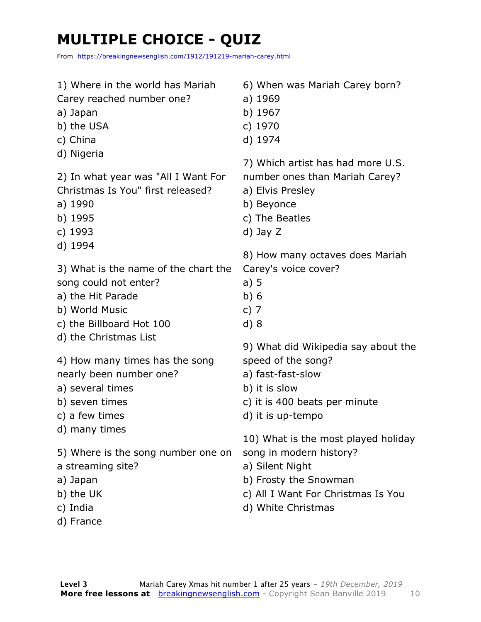### **MULTIPLE CHOICE - QUIZ**

From https://breakingnewsenglish.com/1912/191219-mariah-carey.html

1) Where in the world has Mariah Carey reached number one? a) Japan b) the USA c) China d) Nigeria 2) In what year was "All I Want For Christmas Is You" first released? a) 1990 b) 1995 c) 1993 d) 1994 3) What is the name of the chart the song could not enter? a) the Hit Parade b) World Music c) the Billboard Hot 100 d) the Christmas List 4) How many times has the song nearly been number one? a) several times b) seven times c) a few times d) many times 5) Where is the song number one on a streaming site? a) Japan b) the UK c) India d) France 6) When was Mariah Carey born? a) 1969 b) 1967 c) 1970 d) 1974 7) Which artist has had more U.S. number ones than Mariah Carey? a) Elvis Presley b) Beyonce c) The Beatles d) Jay Z 8) How many octaves does Mariah Carey's voice cover? a) 5 b) 6 c) 7 d) 8 9) What did Wikipedia say about the speed of the song? a) fast-fast-slow b) it is slow c) it is 400 beats per minute d) it is up-tempo 10) What is the most played holiday song in modern history? a) Silent Night b) Frosty the Snowman c) All I Want For Christmas Is You d) White Christmas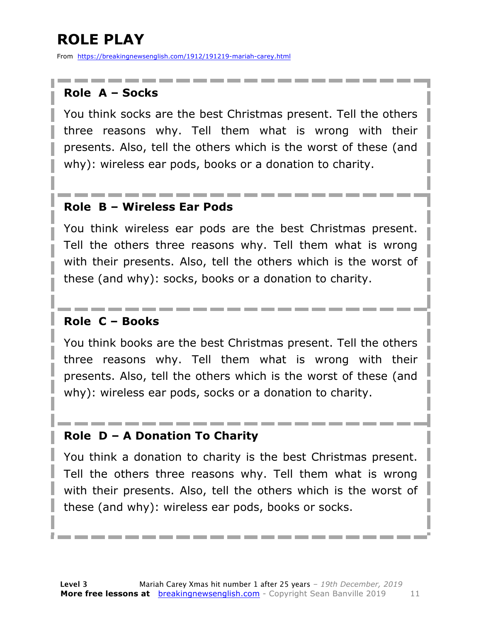### **ROLE PLAY**

From https://breakingnewsenglish.com/1912/191219-mariah-carey.html

#### **Role A – Socks**

You think socks are the best Christmas present. Tell the others three reasons why. Tell them what is wrong with their presents. Also, tell the others which is the worst of these (and why): wireless ear pods, books or a donation to charity.

#### **Role B – Wireless Ear Pods**

You think wireless ear pods are the best Christmas present. Tell the others three reasons why. Tell them what is wrong with their presents. Also, tell the others which is the worst of these (and why): socks, books or a donation to charity.

#### **Role C – Books**

You think books are the best Christmas present. Tell the others three reasons why. Tell them what is wrong with their presents. Also, tell the others which is the worst of these (and why): wireless ear pods, socks or a donation to charity.

#### **Role D – A Donation To Charity**

You think a donation to charity is the best Christmas present. Tell the others three reasons why. Tell them what is wrong with their presents. Also, tell the others which is the worst of these (and why): wireless ear pods, books or socks.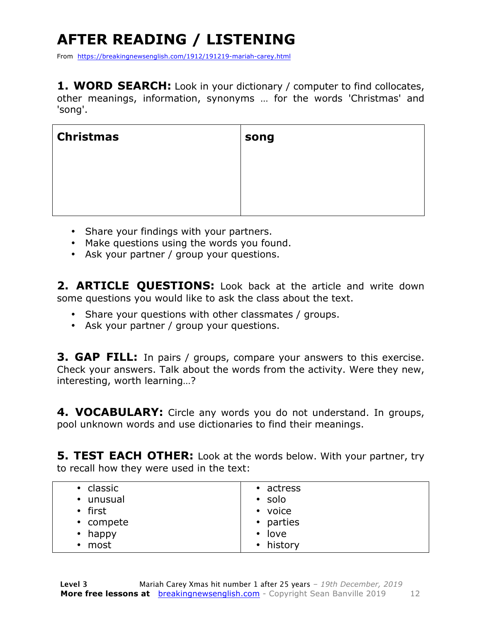## **AFTER READING / LISTENING**

From https://breakingnewsenglish.com/1912/191219-mariah-carey.html

**1. WORD SEARCH:** Look in your dictionary / computer to find collocates, other meanings, information, synonyms … for the words 'Christmas' and 'song'.

| <b>Christmas</b> | song |
|------------------|------|
|                  |      |
|                  |      |
|                  |      |

- Share your findings with your partners.
- Make questions using the words you found.
- Ask your partner / group your questions.

**2. ARTICLE QUESTIONS:** Look back at the article and write down some questions you would like to ask the class about the text.

- Share your questions with other classmates / groups.
- Ask your partner / group your questions.

**3. GAP FILL:** In pairs / groups, compare your answers to this exercise. Check your answers. Talk about the words from the activity. Were they new, interesting, worth learning…?

**4. VOCABULARY:** Circle any words you do not understand. In groups, pool unknown words and use dictionaries to find their meanings.

**5. TEST EACH OTHER:** Look at the words below. With your partner, try to recall how they were used in the text:

| classic<br>$\bullet$<br>• unusual | • actress<br>$\cdot$ solo |
|-----------------------------------|---------------------------|
| • first                           | • voice                   |
| • compete                         | • parties                 |
| $\cdot$ happy                     | $\cdot$ love              |
| most<br>$\bullet$                 | • history                 |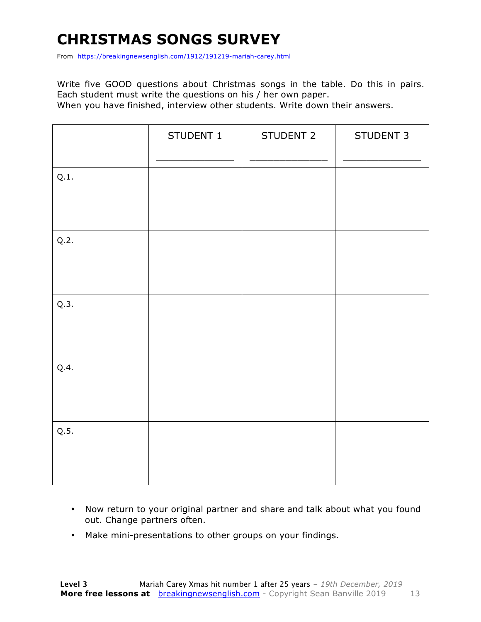### **CHRISTMAS SONGS SURVEY**

From https://breakingnewsenglish.com/1912/191219-mariah-carey.html

Write five GOOD questions about Christmas songs in the table. Do this in pairs. Each student must write the questions on his / her own paper.

When you have finished, interview other students. Write down their answers.

|      | STUDENT 1 | STUDENT 2 | STUDENT 3 |
|------|-----------|-----------|-----------|
| Q.1. |           |           |           |
| Q.2. |           |           |           |
| Q.3. |           |           |           |
| Q.4. |           |           |           |
| Q.5. |           |           |           |

- Now return to your original partner and share and talk about what you found out. Change partners often.
- Make mini-presentations to other groups on your findings.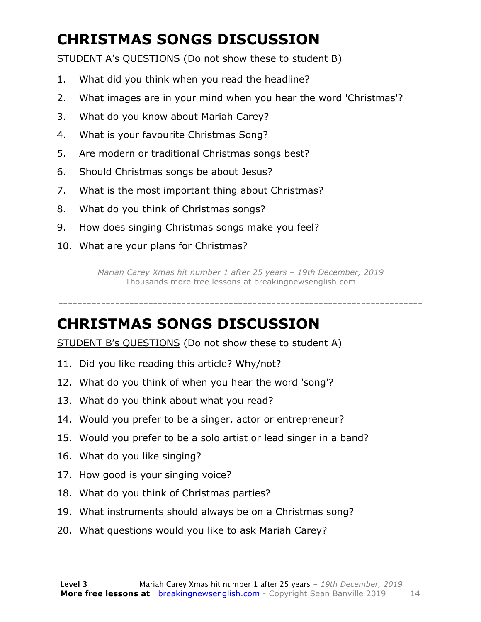### **CHRISTMAS SONGS DISCUSSION**

STUDENT A's QUESTIONS (Do not show these to student B)

- 1. What did you think when you read the headline?
- 2. What images are in your mind when you hear the word 'Christmas'?
- 3. What do you know about Mariah Carey?
- 4. What is your favourite Christmas Song?
- 5. Are modern or traditional Christmas songs best?
- 6. Should Christmas songs be about Jesus?
- 7. What is the most important thing about Christmas?
- 8. What do you think of Christmas songs?
- 9. How does singing Christmas songs make you feel?
- 10. What are your plans for Christmas?

*Mariah Carey Xmas hit number 1 after 25 years – 19th December, 2019* Thousands more free lessons at breakingnewsenglish.com

-----------------------------------------------------------------------------

#### **CHRISTMAS SONGS DISCUSSION**

STUDENT B's QUESTIONS (Do not show these to student A)

- 11. Did you like reading this article? Why/not?
- 12. What do you think of when you hear the word 'song'?
- 13. What do you think about what you read?
- 14. Would you prefer to be a singer, actor or entrepreneur?
- 15. Would you prefer to be a solo artist or lead singer in a band?
- 16. What do you like singing?
- 17. How good is your singing voice?
- 18. What do you think of Christmas parties?
- 19. What instruments should always be on a Christmas song?
- 20. What questions would you like to ask Mariah Carey?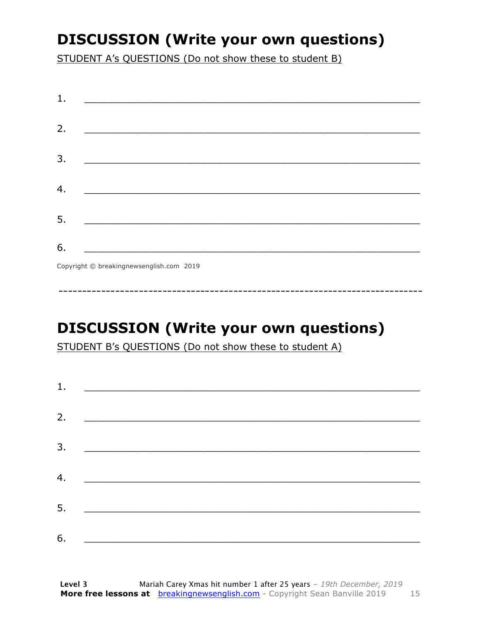### **DISCUSSION (Write your own questions)**

STUDENT A's QUESTIONS (Do not show these to student B)

| 1. |                                                                                                                      |
|----|----------------------------------------------------------------------------------------------------------------------|
|    |                                                                                                                      |
| 2. |                                                                                                                      |
|    |                                                                                                                      |
| 3. |                                                                                                                      |
|    |                                                                                                                      |
| 4. | <u> 1989 - Johann Stein, mars an deutscher Stein und der Stein und der Stein und der Stein und der Stein und der</u> |
|    |                                                                                                                      |
| 5. |                                                                                                                      |
|    |                                                                                                                      |
| 6. |                                                                                                                      |
|    | Copyright © breakingnewsenglish.com 2019                                                                             |

**DISCUSSION (Write your own questions)** 

STUDENT B's QUESTIONS (Do not show these to student A)

| 1. | <u> 1980 - Andrea Amerikaanse kommunister (</u>                                                                        |  |  |
|----|------------------------------------------------------------------------------------------------------------------------|--|--|
| 2. |                                                                                                                        |  |  |
| 3. |                                                                                                                        |  |  |
|    | <u> Termin de la propincia de la propincia de la propincia de la propincia de la propincia de la propincia de la p</u> |  |  |
| 4. | <u> 1989 - Andrea Station, amerikansk politik (</u>                                                                    |  |  |
| 5. | <u> 1986 - Johann Stoff, deutscher Stoffen und der Stoffen und der Stoffen und der Stoffen und der Stoffen und der</u> |  |  |
| 6. |                                                                                                                        |  |  |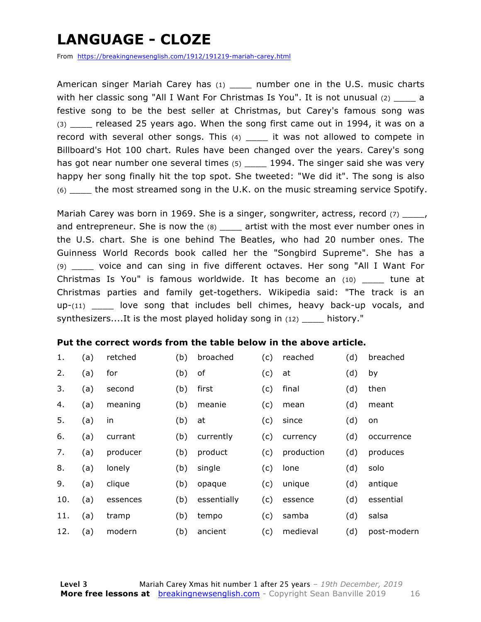### **LANGUAGE - CLOZE**

From https://breakingnewsenglish.com/1912/191219-mariah-carey.html

American singer Mariah Carey has (1) and number one in the U.S. music charts with her classic song "All I Want For Christmas Is You". It is not unusual  $(2)$  \_\_\_\_\_ a festive song to be the best seller at Christmas, but Carey's famous song was (3) \_\_\_\_ released 25 years ago. When the song first came out in 1994, it was on a record with several other songs. This  $(4)$  \_\_\_\_ it was not allowed to compete in Billboard's Hot 100 chart. Rules have been changed over the years. Carey's song has got near number one several times (5)  $\qquad 1994$ . The singer said she was very happy her song finally hit the top spot. She tweeted: "We did it". The song is also (6) \_\_\_\_ the most streamed song in the U.K. on the music streaming service Spotify.

Mariah Carey was born in 1969. She is a singer, songwriter, actress, record  $(7)$  \_\_\_\_, and entrepreneur. She is now the  $(8)$  \_\_\_\_ artist with the most ever number ones in the U.S. chart. She is one behind The Beatles, who had 20 number ones. The Guinness World Records book called her the "Songbird Supreme". She has a (9) \_\_\_\_ voice and can sing in five different octaves. Her song "All I Want For Christmas Is You" is famous worldwide. It has become an (10) \_\_\_\_ tune at Christmas parties and family get-togethers. Wikipedia said: "The track is an up-(11) \_\_\_\_ love song that includes bell chimes, heavy back-up vocals, and synthesizers....It is the most played holiday song in (12) history."

#### **Put the correct words from the table below in the above article.**

| 1.  | (a) | retched  | (b) | broached    | (c) | reached    | (d) | breached    |
|-----|-----|----------|-----|-------------|-----|------------|-----|-------------|
| 2.  | (a) | for      | (b) | of          | (c) | at         | (d) | by          |
| 3.  | (a) | second   | (b) | first       | (c) | final      | (d) | then        |
| 4.  | (a) | meaning  | (b) | meanie      | (c) | mean       | (d) | meant       |
| 5.  | (a) | in       | (b) | at          | (c) | since      | (d) | on          |
| 6.  | (a) | currant  | (b) | currently   | (c) | currency   | (d) | occurrence  |
| 7.  | (a) | producer | (b) | product     | (c) | production | (d) | produces    |
| 8.  | (a) | lonely   | (b) | single      | (c) | lone       | (d) | solo        |
| 9.  | (a) | clique   | (b) | opaque      | (c) | unique     | (d) | antique     |
| 10. | (a) | essences | (b) | essentially | (c) | essence    | (d) | essential   |
| 11. | (a) | tramp    | (b) | tempo       | (c) | samba      | (d) | salsa       |
| 12. | (a) | modern   | (b) | ancient     | (c) | medieval   | (d) | post-modern |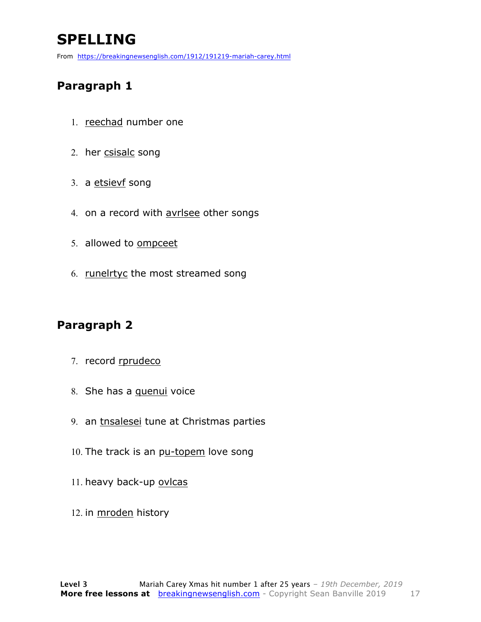### **SPELLING**

From https://breakingnewsenglish.com/1912/191219-mariah-carey.html

#### **Paragraph 1**

- 1. reechad number one
- 2. her csisalc song
- 3. a etsievf song
- 4. on a record with avrlsee other songs
- 5. allowed to ompceet
- 6. runelrtyc the most streamed song

#### **Paragraph 2**

- 7. record rprudeco
- 8. She has a quenui voice
- 9. an tnsalesei tune at Christmas parties
- 10. The track is an pu-topem love song
- 11. heavy back-up ovlcas
- 12. in mroden history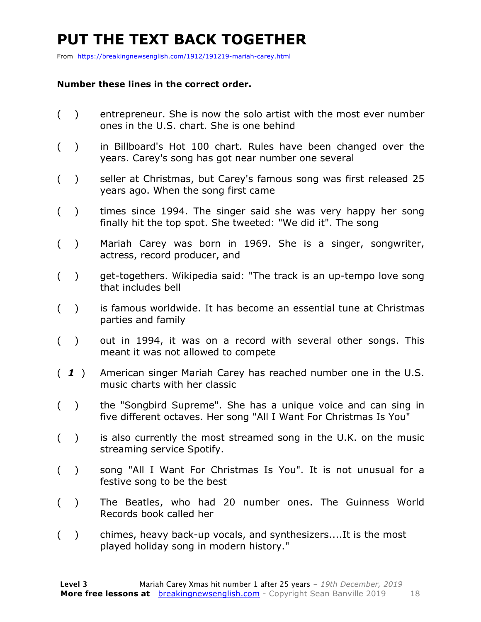### **PUT THE TEXT BACK TOGETHER**

From https://breakingnewsenglish.com/1912/191219-mariah-carey.html

#### **Number these lines in the correct order.**

- ( ) entrepreneur. She is now the solo artist with the most ever number ones in the U.S. chart. She is one behind
- ( ) in Billboard's Hot 100 chart. Rules have been changed over the years. Carey's song has got near number one several
- ( ) seller at Christmas, but Carey's famous song was first released 25 years ago. When the song first came
- ( ) times since 1994. The singer said she was very happy her song finally hit the top spot. She tweeted: "We did it". The song
- ( ) Mariah Carey was born in 1969. She is a singer, songwriter, actress, record producer, and
- ( ) get-togethers. Wikipedia said: "The track is an up-tempo love song that includes bell
- ( ) is famous worldwide. It has become an essential tune at Christmas parties and family
- ( ) out in 1994, it was on a record with several other songs. This meant it was not allowed to compete
- ( *1* ) American singer Mariah Carey has reached number one in the U.S. music charts with her classic
- ( ) the "Songbird Supreme". She has a unique voice and can sing in five different octaves. Her song "All I Want For Christmas Is You"
- ( ) is also currently the most streamed song in the U.K. on the music streaming service Spotify.
- ( ) song "All I Want For Christmas Is You". It is not unusual for a festive song to be the best
- ( ) The Beatles, who had 20 number ones. The Guinness World Records book called her
- ( ) chimes, heavy back-up vocals, and synthesizers....It is the most played holiday song in modern history."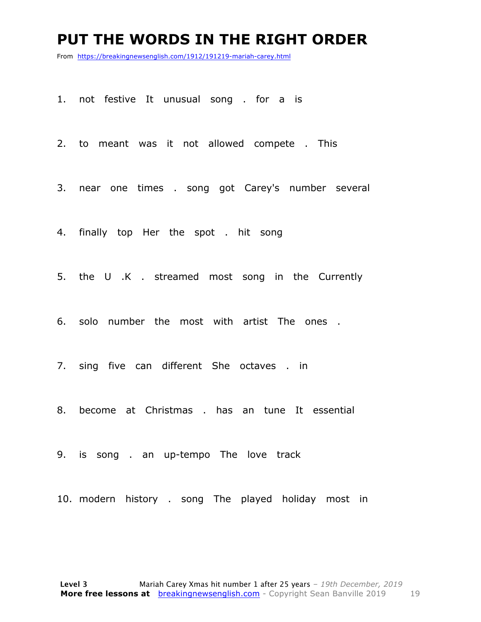#### **PUT THE WORDS IN THE RIGHT ORDER**

From https://breakingnewsenglish.com/1912/191219-mariah-carey.html

1. not festive It unusual song . for a is

2. to meant was it not allowed compete . This

3. near one times . song got Carey's number several

4. finally top Her the spot . hit song

5. the U .K . streamed most song in the Currently

6. solo number the most with artist The ones .

7. sing five can different She octaves . in

8. become at Christmas . has an tune It essential

9. is song . an up-tempo The love track

10. modern history . song The played holiday most in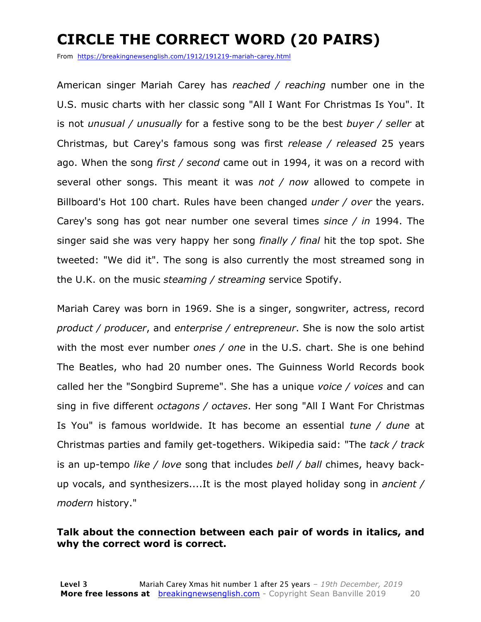### **CIRCLE THE CORRECT WORD (20 PAIRS)**

From https://breakingnewsenglish.com/1912/191219-mariah-carey.html

American singer Mariah Carey has *reached / reaching* number one in the U.S. music charts with her classic song "All I Want For Christmas Is You". It is not *unusual / unusually* for a festive song to be the best *buyer / seller* at Christmas, but Carey's famous song was first *release / released* 25 years ago. When the song *first / second* came out in 1994, it was on a record with several other songs. This meant it was *not / now* allowed to compete in Billboard's Hot 100 chart. Rules have been changed *under / over* the years. Carey's song has got near number one several times *since / in* 1994. The singer said she was very happy her song *finally / final* hit the top spot. She tweeted: "We did it". The song is also currently the most streamed song in the U.K. on the music *steaming / streaming* service Spotify.

Mariah Carey was born in 1969. She is a singer, songwriter, actress, record *product / producer*, and *enterprise / entrepreneur*. She is now the solo artist with the most ever number *ones / one* in the U.S. chart. She is one behind The Beatles, who had 20 number ones. The Guinness World Records book called her the "Songbird Supreme". She has a unique *voice / voices* and can sing in five different *octagons / octaves*. Her song "All I Want For Christmas Is You" is famous worldwide. It has become an essential *tune / dune* at Christmas parties and family get-togethers. Wikipedia said: "The *tack / track* is an up-tempo *like / love* song that includes *bell / ball* chimes, heavy backup vocals, and synthesizers....It is the most played holiday song in *ancient / modern* history."

#### **Talk about the connection between each pair of words in italics, and why the correct word is correct.**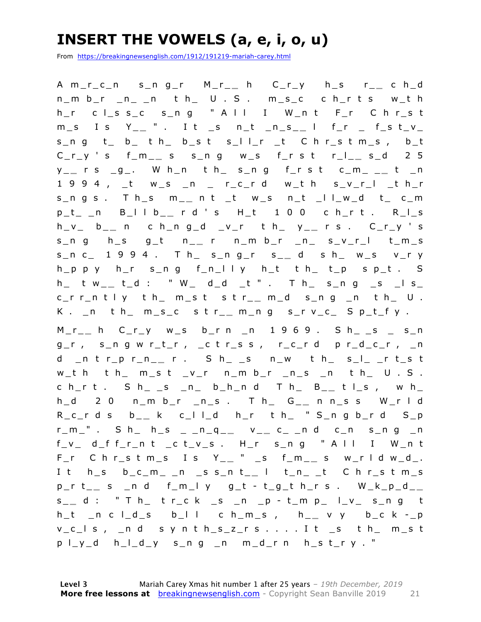### **INSERT THE VOWELS (a, e, i, o, u)**

From https://breakingnewsenglish.com/1912/191219-mariah-carey.html

A m\_r\_c\_n s\_n g\_r M\_r\_ **\_** h C\_r\_y h\_s r\_ **\_** c h\_d n\_m b\_r \_n\_ \_n t h\_ U . S . m\_s\_c c h\_r t s w\_t h hr c lssc sng " A ll I W nt Fr C hrst m\_s I s Y\_ **\_** " . I t \_s n\_t \_n\_s\_ **\_** l f\_r \_ f\_s t\_v\_ s\_n g t\_ b\_ t h\_ b\_s t s\_l l\_r \_t C h r\_s t m\_s , b\_t C\_r\_y ' s f\_m\_ **\_** s s\_n g w\_s f\_r s t r\_l\_ **\_** s\_d 2 5 y \_ **\_** r s \_g\_. W h\_n t h\_ s\_n g f\_r s t c\_m\_ \_ **\_** t \_n 1 9 9 4 , \_t w\_s \_n \_ r\_c\_r d w\_t h s\_v\_r\_l \_t h\_r s\_n g s . T h\_s m\_ **\_** n t \_t w\_s n\_t \_l l\_w\_d t\_ c\_m p\_t\_ \_n B\_l l b\_ **\_** r d ' s H\_t 1 0 0 c h\_r t . R\_l\_s h\_v\_ b\_ **\_** n c h\_n g\_d \_v\_r t h\_ y\_ **\_** r s . C\_r\_y ' s s\_n g h\_s g\_t n\_ **\_** r n\_m b\_r \_n\_ s\_v\_r\_l t\_m\_s s\_n c\_ 1 9 9 4 . T h\_ s\_n g\_r s\_ **\_** d s h\_ w\_s v\_r y  $h_p$  p y  $h_r$  s\_n g  $f_n$ | l y  $h_t$  t  $h$  t  $t_p$  s  $p_t$  . S h\_ t w\_ **\_** t\_d : " W\_ d\_d \_t " . T h\_ s\_n g \_s \_l s\_ c\_r r\_n t l y t h\_ m\_s t s t r\_ **\_** m\_d s\_n g \_n t h\_ U . K . \_n t h\_ m\_s\_c s t r\_ **\_** m\_n g s\_r v\_c\_ S p\_t\_f y .

M\_r\_ **\_** h C\_r\_y w\_s b\_r n \_n 1 9 6 9 . S h\_ \_s \_ s\_n g\_r , s\_n g w r\_t\_r , \_c t r\_s s , r\_c\_r d p r\_d\_c\_r , \_n d \_n t r\_p r\_n\_ **\_** r . S h\_ \_s n\_w t h\_ s\_l\_ \_r t\_s t  $w_t$  th th\_ m\_st \_v\_r n\_m b\_r \_n\_s \_n th\_ U . S.  $c h_r t$  . S  $h_{-}$  s  $_n$  b\_h\_n d T  $h_{-}$  B\_\_ t l\_s, w  $h_{-}$ h\_d 2 0 n\_m b\_r \_n\_s . T h\_ G\_ **\_** n n\_s s W\_r l d R\_c\_r d s b\_ **\_** k c\_l l\_d h\_r t h\_ " S\_n g b\_r d S\_p r\_m\_" . S h\_ h\_s \_ \_n\_q\_ **\_** v \_ **\_** c\_ \_n d c\_n s\_n g \_n  $f_v$  d\_f  $f_r$ n t \_c t\_v\_s . H\_r s\_n g " A l l I W\_n t F\_r C h r\_s t m\_s I s Y\_ **\_** " \_s f\_m\_ **\_** s w\_r l d w\_d\_. I t h\_s b\_c\_m\_ \_n \_s s\_n t\_ **\_** l t\_n\_ \_t C h r\_s t m\_s p\_r t\_ **\_** s \_n d f\_m\_l y g\_t - t\_g\_t h\_r s . W\_k\_p\_d\_ **\_**  s \_ **\_** d : " T h\_ t r\_c k \_s \_n \_p - t\_m p\_ l\_v\_ s\_n g t h\_t \_n c l\_d\_s b\_l l c h\_m\_s , h\_ **\_** v y b\_c k - \_p v\_c\_l s , \_n d s y n t h\_s\_z\_r s . . . . I t \_s t h\_ m\_s t p l\_y\_d h\_l\_d\_y s\_n g \_n m\_d\_r n h\_s t\_r y . "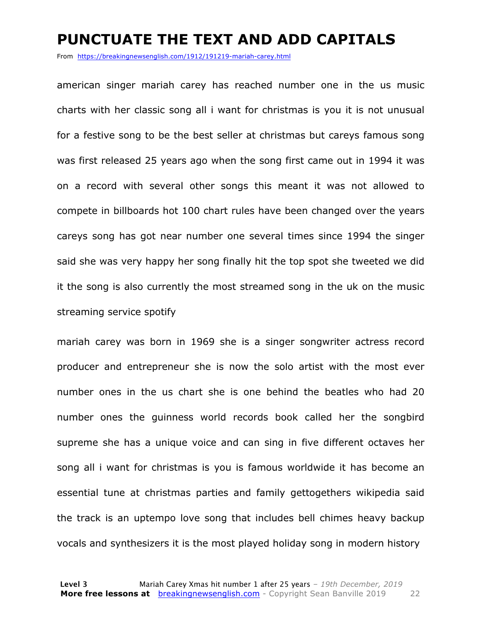#### **PUNCTUATE THE TEXT AND ADD CAPITALS**

From https://breakingnewsenglish.com/1912/191219-mariah-carey.html

american singer mariah carey has reached number one in the us music charts with her classic song all i want for christmas is you it is not unusual for a festive song to be the best seller at christmas but careys famous song was first released 25 years ago when the song first came out in 1994 it was on a record with several other songs this meant it was not allowed to compete in billboards hot 100 chart rules have been changed over the years careys song has got near number one several times since 1994 the singer said she was very happy her song finally hit the top spot she tweeted we did it the song is also currently the most streamed song in the uk on the music streaming service spotify

mariah carey was born in 1969 she is a singer songwriter actress record producer and entrepreneur she is now the solo artist with the most ever number ones in the us chart she is one behind the beatles who had 20 number ones the guinness world records book called her the songbird supreme she has a unique voice and can sing in five different octaves her song all i want for christmas is you is famous worldwide it has become an essential tune at christmas parties and family gettogethers wikipedia said the track is an uptempo love song that includes bell chimes heavy backup vocals and synthesizers it is the most played holiday song in modern history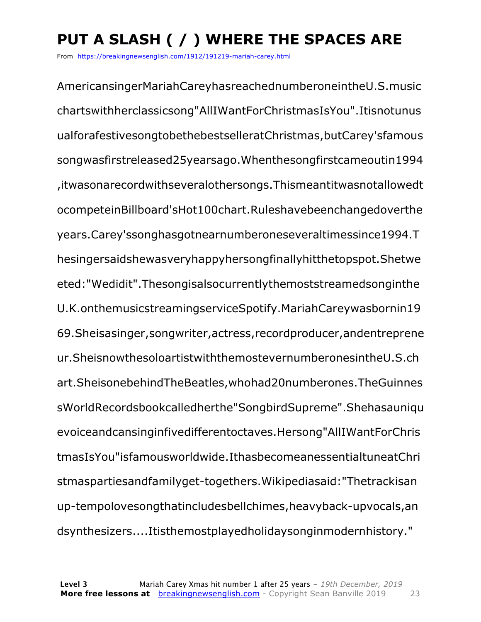### **PUT A SLASH ( / ) WHERE THE SPACES ARE**

From https://breakingnewsenglish.com/1912/191219-mariah-carey.html

AmericansingerMariahCareyhasreachednumberoneintheU.S.music chartswithherclassicsong"AllIWantForChristmasIsYou".Itisnotunus ualforafestivesongtobethebestselleratChristmas,butCarey'sfamous songwasfirstreleased25yearsago.Whenthesongfirstcameoutin1994 ,itwasonarecordwithseveralothersongs.Thismeantitwasnotallowedt ocompeteinBillboard'sHot100chart.Ruleshavebeenchangedoverthe years.Carey'ssonghasgotnearnumberoneseveraltimessince1994.T hesingersaidshewasveryhappyhersongfinallyhitthetopspot.Shetwe eted:"Wedidit".Thesongisalsocurrentlythemoststreamedsonginthe U.K.onthemusicstreamingserviceSpotify.MariahCareywasbornin19 69.Sheisasinger,songwriter,actress,recordproducer,andentreprene ur.SheisnowthesoloartistwiththemostevernumberonesintheU.S.ch art.SheisonebehindTheBeatles,whohad20numberones.TheGuinnes sWorldRecordsbookcalledherthe"SongbirdSupreme".Shehasauniqu evoiceandcansinginfivedifferentoctaves.Hersong"AllIWantForChris tmasIsYou"isfamousworldwide.IthasbecomeanessentialtuneatChri stmaspartiesandfamilyget-togethers.Wikipediasaid:"Thetrackisan up-tempolovesongthatincludesbellchimes,heavyback-upvocals,an dsynthesizers....Itisthemostplayedholidaysonginmodernhistory."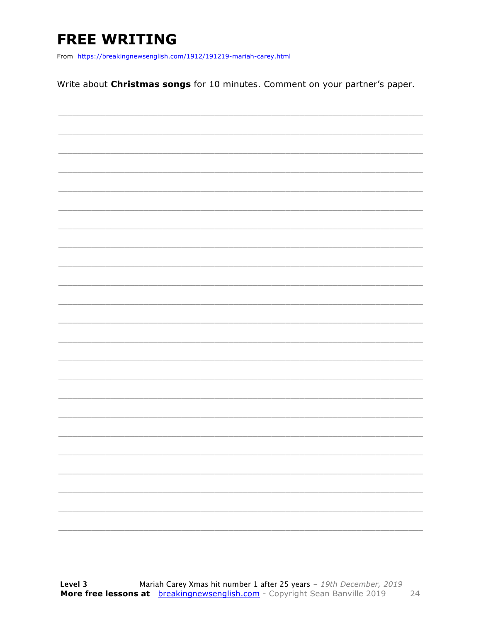### **FREE WRITING**

From https://breakingnewsenglish.com/1912/191219-mariah-carey.html

Write about Christmas songs for 10 minutes. Comment on your partner's paper.

|                          | _________                                                                                                                                                                                                                                                                                                                                                                                                                                                                  |
|--------------------------|----------------------------------------------------------------------------------------------------------------------------------------------------------------------------------------------------------------------------------------------------------------------------------------------------------------------------------------------------------------------------------------------------------------------------------------------------------------------------|
|                          |                                                                                                                                                                                                                                                                                                                                                                                                                                                                            |
| $\overline{\phantom{a}}$ | $\frac{1}{2} \left( \frac{1}{2} \right) \left( \frac{1}{2} \right) \left( \frac{1}{2} \right) \left( \frac{1}{2} \right) \left( \frac{1}{2} \right) \left( \frac{1}{2} \right) \left( \frac{1}{2} \right) \left( \frac{1}{2} \right) \left( \frac{1}{2} \right) \left( \frac{1}{2} \right) \left( \frac{1}{2} \right) \left( \frac{1}{2} \right) \left( \frac{1}{2} \right) \left( \frac{1}{2} \right) \left( \frac{1}{2} \right) \left( \frac{1}{2} \right) \left( \frac$ |
|                          |                                                                                                                                                                                                                                                                                                                                                                                                                                                                            |
|                          | $\begin{tabular}{cccccc} \multicolumn{2}{c }{\textbf{1} & \textbf{2} & \textbf{3} & \textbf{4} & \textbf{5} & \textbf{5} & \textbf{6} & \textbf{6} & \textbf{7} & \textbf{8} & \textbf{8} & \textbf{9} & \textbf{10} & \textbf{10} & \textbf{10} & \textbf{10} & \textbf{10} & \textbf{10} & \textbf{10} & \textbf{10} & \textbf{10} & \textbf{10} & \textbf{10} & \textbf{10} & \textbf{10} & \textbf{10} & \textbf{1$                                                    |
|                          |                                                                                                                                                                                                                                                                                                                                                                                                                                                                            |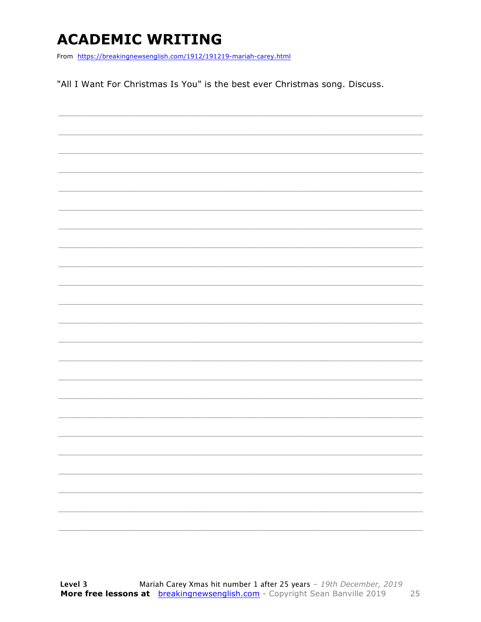### **ACADEMIC WRITING**

From https://breakingnewsenglish.com/1912/191219-mariah-carey.html

"All I Want For Christmas Is You" is the best ever Christmas song. Discuss.

|  |  | ____                                                                                                                                                                                                                                                                                                                                                                                                                                                                       |
|--|--|----------------------------------------------------------------------------------------------------------------------------------------------------------------------------------------------------------------------------------------------------------------------------------------------------------------------------------------------------------------------------------------------------------------------------------------------------------------------------|
|  |  |                                                                                                                                                                                                                                                                                                                                                                                                                                                                            |
|  |  | $\frac{1}{2} \left( \frac{1}{2} \right) \left( \frac{1}{2} \right) \left( \frac{1}{2} \right) \left( \frac{1}{2} \right) \left( \frac{1}{2} \right) \left( \frac{1}{2} \right) \left( \frac{1}{2} \right) \left( \frac{1}{2} \right) \left( \frac{1}{2} \right) \left( \frac{1}{2} \right) \left( \frac{1}{2} \right) \left( \frac{1}{2} \right) \left( \frac{1}{2} \right) \left( \frac{1}{2} \right) \left( \frac{1}{2} \right) \left( \frac{1}{2} \right) \left( \frac$ |
|  |  | ____                                                                                                                                                                                                                                                                                                                                                                                                                                                                       |
|  |  |                                                                                                                                                                                                                                                                                                                                                                                                                                                                            |
|  |  |                                                                                                                                                                                                                                                                                                                                                                                                                                                                            |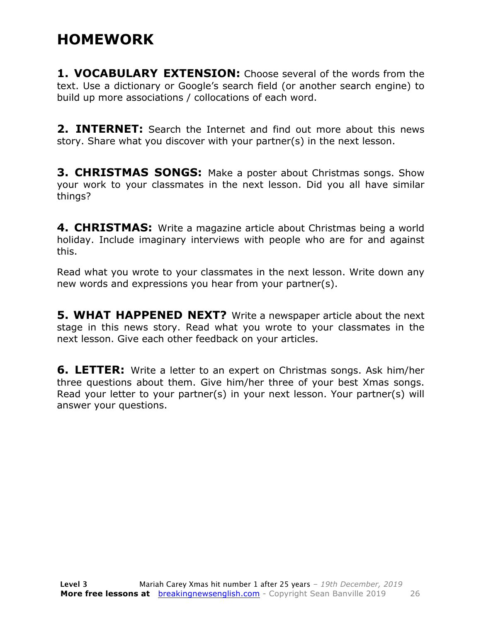### **HOMEWORK**

**1. VOCABULARY EXTENSION:** Choose several of the words from the text. Use a dictionary or Google's search field (or another search engine) to build up more associations / collocations of each word.

**2. INTERNET:** Search the Internet and find out more about this news story. Share what you discover with your partner(s) in the next lesson.

**3. CHRISTMAS SONGS:** Make a poster about Christmas songs. Show your work to your classmates in the next lesson. Did you all have similar things?

**4. CHRISTMAS:** Write a magazine article about Christmas being a world holiday. Include imaginary interviews with people who are for and against this.

Read what you wrote to your classmates in the next lesson. Write down any new words and expressions you hear from your partner(s).

**5. WHAT HAPPENED NEXT?** Write a newspaper article about the next stage in this news story. Read what you wrote to your classmates in the next lesson. Give each other feedback on your articles.

**6. LETTER:** Write a letter to an expert on Christmas songs. Ask him/her three questions about them. Give him/her three of your best Xmas songs. Read your letter to your partner(s) in your next lesson. Your partner(s) will answer your questions.